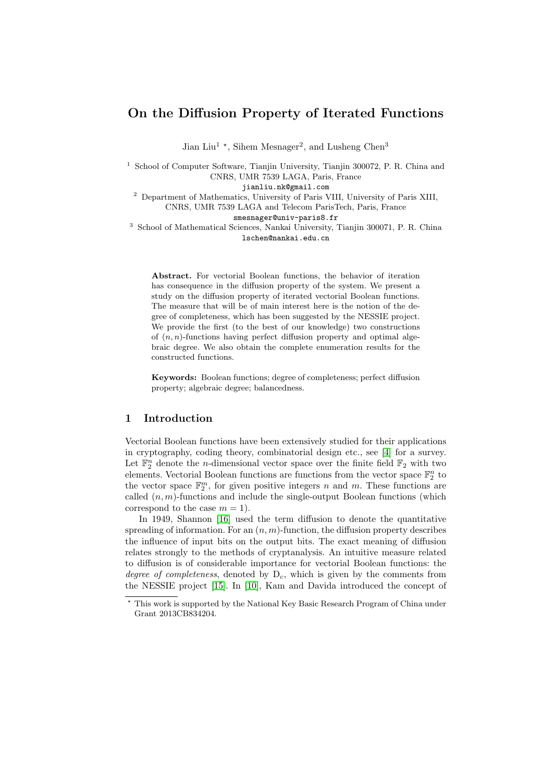# On the Diffusion Property of Iterated Functions

Jian Liu<sup>1</sup>  $\star$ , Sihem Mesnager<sup>2</sup>, and Lusheng Chen<sup>3</sup>

<sup>1</sup> School of Computer Software, Tianjin University, Tianjin 300072, P. R. China and CNRS, UMR 7539 LAGA, Paris, France

jianliu.nk@gmail.com

<sup>2</sup> Department of Mathematics, University of Paris VIII, University of Paris XIII, CNRS, UMR 7539 LAGA and Telecom ParisTech, Paris, France

smesnager@univ-paris8.fr

<sup>3</sup> School of Mathematical Sciences, Nankai University, Tianjin 300071, P. R. China lschen@nankai.edu.cn

Abstract. For vectorial Boolean functions, the behavior of iteration has consequence in the diffusion property of the system. We present a study on the diffusion property of iterated vectorial Boolean functions. The measure that will be of main interest here is the notion of the degree of completeness, which has been suggested by the NESSIE project. We provide the first (to the best of our knowledge) two constructions of  $(n, n)$ -functions having perfect diffusion property and optimal algebraic degree. We also obtain the complete enumeration results for the constructed functions.

Keywords: Boolean functions; degree of completeness; perfect diffusion property; algebraic degree; balancedness.

### 1 Introduction

Vectorial Boolean functions have been extensively studied for their applications in cryptography, coding theory, combinatorial design etc., see [\[4\]](#page-13-0) for a survey. Let  $\mathbb{F}_2^n$  denote the *n*-dimensional vector space over the finite field  $\mathbb{F}_2$  with two elements. Vectorial Boolean functions are functions from the vector space  $\mathbb{F}_2^n$  to the vector space  $\mathbb{F}_2^m$ , for given positive integers n and m. These functions are called  $(n, m)$ -functions and include the single-output Boolean functions (which correspond to the case  $m = 1$ .

In 1949, Shannon [\[16\]](#page-14-0) used the term diffusion to denote the quantitative spreading of information. For an  $(n, m)$ -function, the diffusion property describes the influence of input bits on the output bits. The exact meaning of diffusion relates strongly to the methods of cryptanalysis. An intuitive measure related to diffusion is of considerable importance for vectorial Boolean functions: the degree of completeness, denoted by  $D_c$ , which is given by the comments from the NESSIE project [\[15\]](#page-14-1). In [\[10\]](#page-13-1), Kam and Davida introduced the concept of

 $^\star$  This work is supported by the National Key Basic Research Program of China under Grant 2013CB834204.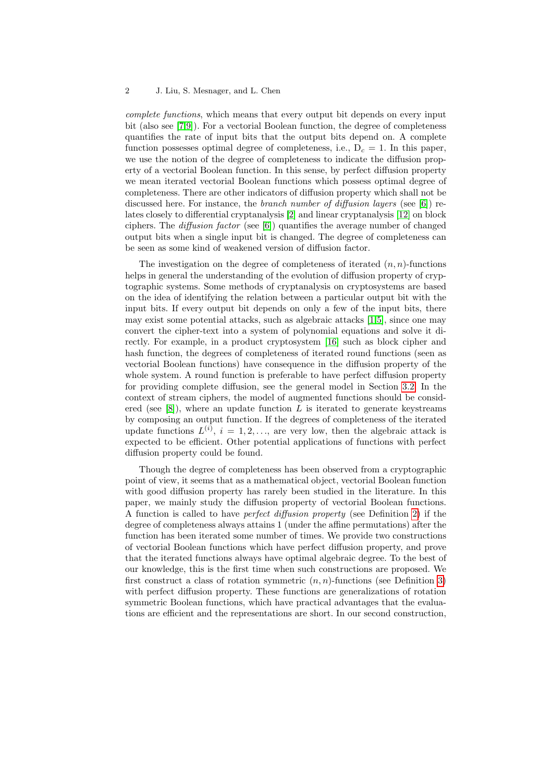#### 2 J. Liu, S. Mesnager, and L. Chen

complete functions, which means that every output bit depends on every input bit (also see [\[7,](#page-13-2)[9\]](#page-13-3)). For a vectorial Boolean function, the degree of completeness quantifies the rate of input bits that the output bits depend on. A complete function possesses optimal degree of completeness, i.e.,  $D_c = 1$ . In this paper, we use the notion of the degree of completeness to indicate the diffusion property of a vectorial Boolean function. In this sense, by perfect diffusion property we mean iterated vectorial Boolean functions which possess optimal degree of completeness. There are other indicators of diffusion property which shall not be discussed here. For instance, the *branch number of diffusion layers* (see [\[6\]](#page-13-4)) relates closely to differential cryptanalysis [\[2\]](#page-13-5) and linear cryptanalysis [\[12\]](#page-14-2) on block ciphers. The *diffusion factor* (see  $[6]$ ) quantifies the average number of changed output bits when a single input bit is changed. The degree of completeness can be seen as some kind of weakened version of diffusion factor.

The investigation on the degree of completeness of iterated  $(n, n)$ -functions helps in general the understanding of the evolution of diffusion property of cryptographic systems. Some methods of cryptanalysis on cryptosystems are based on the idea of identifying the relation between a particular output bit with the input bits. If every output bit depends on only a few of the input bits, there may exist some potential attacks, such as algebraic attacks [\[1,](#page-13-6)[5\]](#page-13-7), since one may convert the cipher-text into a system of polynomial equations and solve it directly. For example, in a product cryptosystem [\[16\]](#page-14-0) such as block cipher and hash function, the degrees of completeness of iterated round functions (seen as vectorial Boolean functions) have consequence in the diffusion property of the whole system. A round function is preferable to have perfect diffusion property for providing complete diffusion, see the general model in Section [3.2.](#page-10-0) In the context of stream ciphers, the model of augmented functions should be considered (see  $[8]$ ), where an update function L is iterated to generate keystreams by composing an output function. If the degrees of completeness of the iterated update functions  $L^{(i)}$ ,  $i = 1, 2, \ldots$ , are very low, then the algebraic attack is expected to be efficient. Other potential applications of functions with perfect diffusion property could be found.

Though the degree of completeness has been observed from a cryptographic point of view, it seems that as a mathematical object, vectorial Boolean function with good diffusion property has rarely been studied in the literature. In this paper, we mainly study the diffusion property of vectorial Boolean functions. A function is called to have perfect diffusion property (see Definition [2\)](#page-4-0) if the degree of completeness always attains 1 (under the affine permutations) after the function has been iterated some number of times. We provide two constructions of vectorial Boolean functions which have perfect diffusion property, and prove that the iterated functions always have optimal algebraic degree. To the best of our knowledge, this is the first time when such constructions are proposed. We first construct a class of rotation symmetric  $(n, n)$ -functions (see Definition [3\)](#page-5-0) with perfect diffusion property. These functions are generalizations of rotation symmetric Boolean functions, which have practical advantages that the evaluations are efficient and the representations are short. In our second construction,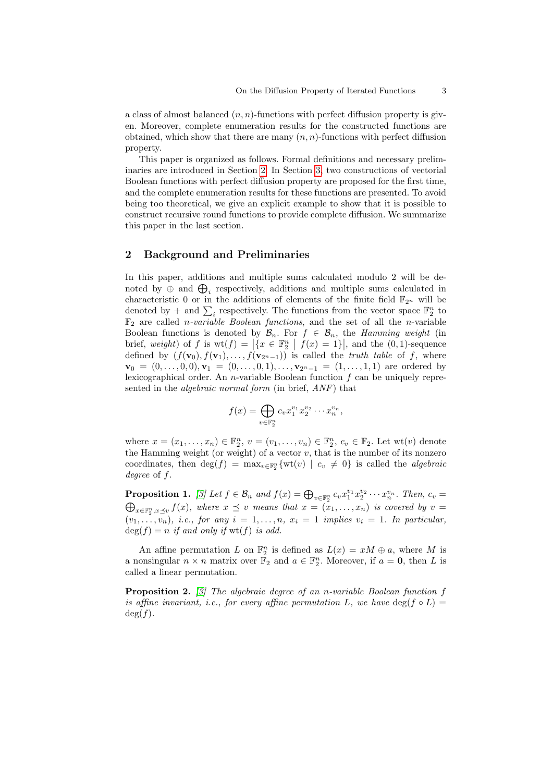a class of almost balanced  $(n, n)$ -functions with perfect diffusion property is given. Moreover, complete enumeration results for the constructed functions are obtained, which show that there are many  $(n, n)$ -functions with perfect diffusion property.

This paper is organized as follows. Formal definitions and necessary preliminaries are introduced in Section [2.](#page-2-0) In Section [3,](#page-5-1) two constructions of vectorial Boolean functions with perfect diffusion property are proposed for the first time, and the complete enumeration results for these functions are presented. To avoid being too theoretical, we give an explicit example to show that it is possible to construct recursive round functions to provide complete diffusion. We summarize this paper in the last section.

### <span id="page-2-0"></span>2 Background and Preliminaries

In this paper, additions and multiple sums calculated modulo 2 will be denoted by  $\oplus$  and  $\bigoplus_i$  respectively, additions and multiple sums calculated in characteristic 0 or in the additions of elements of the finite field  $\mathbb{F}_{2^n}$  will be denoted by + and  $\sum_i$  respectively. The functions from the vector space  $\mathbb{F}_2^n$  to  $\mathbb{F}_2$  are called *n*-variable *Boolean functions*, and the set of all the *n*-variable Boolean functions is denoted by  $\mathcal{B}_n$ . For  $f \in \mathcal{B}_n$ , the *Hamming weight* (in brief, weight) of f is  $\text{wt}(f) = \left| \{ x \in \mathbb{F}_2^n \mid f(x) = 1 \} \right|$ , and the  $(0, 1)$ -sequence defined by  $(f(\mathbf{v}_0), f(\mathbf{v}_1), \ldots, f(\mathbf{v}_{2^n-1}))$  is called the *truth table* of f, where  $\mathbf{v}_0 = (0, \ldots, 0, 0), \mathbf{v}_1 = (0, \ldots, 0, 1), \ldots, \mathbf{v}_{2^{n}-1} = (1, \ldots, 1, 1)$  are ordered by lexicographical order. An *n*-variable Boolean function  $f$  can be uniquely represented in the *algebraic normal form* (in brief, ANF) that

$$
f(x) = \bigoplus_{v \in \mathbb{F}_2^n} c_v x_1^{v_1} x_2^{v_2} \cdots x_n^{v_n},
$$

where  $x = (x_1, \ldots, x_n) \in \mathbb{F}_2^n$ ,  $v = (v_1, \ldots, v_n) \in \mathbb{F}_2^n$ ,  $c_v \in \mathbb{F}_2$ . Let  $wt(v)$  denote the Hamming weight (or weight) of a vector  $v$ , that is the number of its nonzero coordinates, then  $\deg(f) = \max_{v \in \mathbb{F}_2^n} \{wt(v) \mid c_v \neq 0\}$  is called the *algebraic* degree of f.

<span id="page-2-2"></span>**Proposition 1.** [\[3\]](#page-13-9) Let  $f \in \mathcal{B}_n$  and  $f(x) = \bigoplus_{v \in \mathbb{F}_2^n} c_v x_1^{v_1} x_2^{v_2} \cdots x_n^{v_n}$ . Then,  $c_v =$  $\bigoplus_{x\in\mathbb{F}_2^n,x\preceq v}f(x)$ , where  $x \preceq v$  means that  $x = (x_1,\ldots,x_n)$  is covered by  $v =$  $(v_1, \ldots, v_n)$ , i.e., for any  $i = 1, \ldots, n$ ,  $x_i = 1$  implies  $v_i = 1$ . In particular,  $deg(f) = n$  if and only if  $wt(f)$  is odd.

An affine permutation L on  $\mathbb{F}_2^n$  is defined as  $L(x) = xM \oplus a$ , where M is a nonsingular  $n \times n$  matrix over  $\mathbb{F}_2$  and  $a \in \mathbb{F}_2^n$ . Moreover, if  $a = 0$ , then L is called a linear permutation.

<span id="page-2-1"></span>**Proposition 2.** [\[3\]](#page-13-9) The algebraic degree of an n-variable Boolean function  $f$ is affine invariant, i.e., for every affine permutation L, we have  $\deg(f \circ L) =$  $deg(f)$ .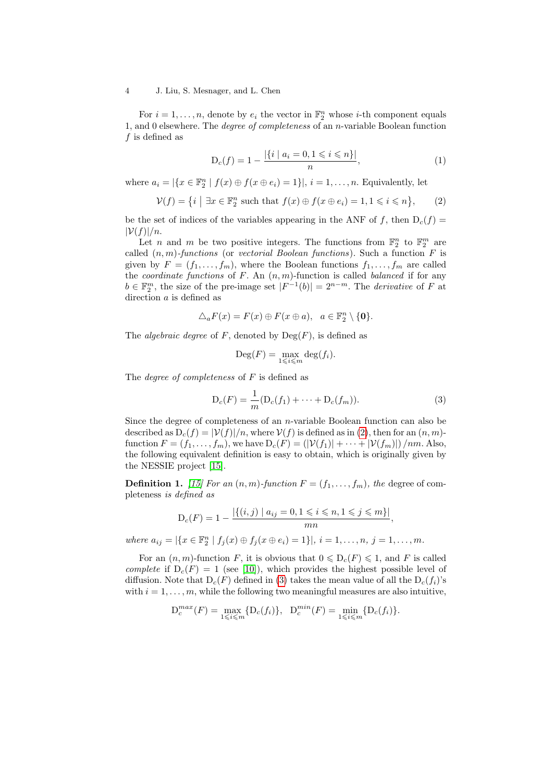#### 4 J. Liu, S. Mesnager, and L. Chen

For  $i = 1, ..., n$ , denote by  $e_i$  the vector in  $\mathbb{F}_2^n$  whose *i*-th component equals 1, and 0 elsewhere. The degree of completeness of an n-variable Boolean function  $f$  is defined as

<span id="page-3-2"></span>
$$
D_c(f) = 1 - \frac{|\{i \mid a_i = 0, 1 \le i \le n\}|}{n},\tag{1}
$$

where  $a_i = |\{x \in \mathbb{F}_2^n \mid f(x) \oplus f(x \oplus e_i) = 1\}|, i = 1, \ldots, n$ . Equivalently, let

<span id="page-3-0"></span>
$$
\mathcal{V}(f) = \left\{ i \mid \exists x \in \mathbb{F}_2^n \text{ such that } f(x) \oplus f(x \oplus e_i) = 1, 1 \leq i \leq n \right\},\qquad(2)
$$

be the set of indices of the variables appearing in the ANF of f, then  $D_c(f)$  =  $|\mathcal{V}(f)|/n$ .

Let *n* and *m* be two positive integers. The functions from  $\mathbb{F}_2^n$  to  $\mathbb{F}_2^m$  are called  $(n, m)$ -functions (or vectorial Boolean functions). Such a function  $F$  is given by  $F = (f_1, \ldots, f_m)$ , where the Boolean functions  $f_1, \ldots, f_m$  are called the *coordinate functions* of  $F$ . An  $(n, m)$ -function is called *balanced* if for any  $b \in \mathbb{F}_2^m$ , the size of the pre-image set  $|F^{-1}(b)| = 2^{n-m}$ . The *derivative* of F at direction  $a$  is defined as

$$
\triangle_a F(x) = F(x) \oplus F(x \oplus a), \ \ a \in \mathbb{F}_2^n \setminus \{\mathbf{0}\}.
$$

The *algebraic degree* of F, denoted by  $Deg(F)$ , is defined as

$$
\operatorname{Deg}(F) = \max_{1 \leq i \leq m} \deg(f_i).
$$

The *degree of completeness* of  $F$  is defined as

<span id="page-3-1"></span>
$$
D_c(F) = \frac{1}{m}(D_c(f_1) + \dots + D_c(f_m)).
$$
\n(3)

Since the degree of completeness of an n-variable Boolean function can also be described as  $D_c(f) = |\mathcal{V}(f)|/n$ , where  $\mathcal{V}(f)$  is defined as in [\(2\)](#page-3-0), then for an  $(n, m)$ function  $F = (f_1, \ldots, f_m)$ , we have  $D_c(F) = (|\mathcal{V}(f_1)| + \cdots + |\mathcal{V}(f_m)|) / nm$ . Also, the following equivalent definition is easy to obtain, which is originally given by the NESSIE project [\[15\]](#page-14-1).

**Definition 1.** [\[15\]](#page-14-1) For an  $(n, m)$ -function  $F = (f_1, \ldots, f_m)$ , the degree of completeness is defined as

$$
D_c(F) = 1 - \frac{|\{(i,j) \mid a_{ij} = 0, 1 \le i \le n, 1 \le j \le m\}|}{mn},
$$

where  $a_{ij} = |\{x \in \mathbb{F}_2^n \mid f_j(x) \oplus f_j(x \oplus e_i) = 1\}|, i = 1, ..., n, j = 1, ..., m.$ 

For an  $(n, m)$ -function F, it is obvious that  $0 \le D_c(F) \le 1$ , and F is called complete if  $D_c(F) = 1$  (see [\[10\]](#page-13-1)), which provides the highest possible level of diffusion. Note that  $D_c(F)$  defined in [\(3\)](#page-3-1) takes the mean value of all the  $D_c(f_i)$ 's with  $i = 1, \ldots, m$ , while the following two meaningful measures are also intuitive,

$$
D_c^{max}(F) = \max_{1 \le i \le m} \{D_c(f_i)\}, \quad D_c^{min}(F) = \min_{1 \le i \le m} \{D_c(f_i)\}.
$$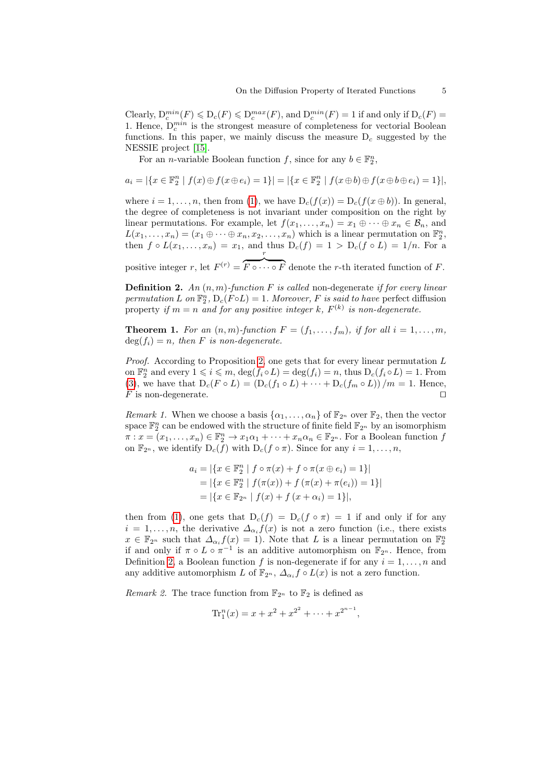Clearly,  $D_c^{min}(F) \leq D_c(F) \leq D_c^{max}(F)$ , and  $D_c^{min}(F) = 1$  if and only if  $D_c(F) =$ 1. Hence,  $D_c^{min}$  is the strongest measure of completeness for vectorial Boolean functions. In this paper, we mainly discuss the measure  $D_c$  suggested by the NESSIE project [\[15\]](#page-14-1).

For an *n*-variable Boolean function f, since for any  $b \in \mathbb{F}_2^n$ ,

$$
a_i = |\{x \in \mathbb{F}_2^n \mid f(x) \oplus f(x \oplus e_i) = 1\}| = |\{x \in \mathbb{F}_2^n \mid f(x \oplus b) \oplus f(x \oplus b \oplus e_i) = 1\}|,
$$

where  $i = 1, \ldots, n$ , then from [\(1\)](#page-3-2), we have  $D_c(f(x)) = D_c(f(x \oplus b))$ . In general, the degree of completeness is not invariant under composition on the right by linear permutations. For example, let  $f(x_1, \ldots, x_n) = x_1 \oplus \cdots \oplus x_n \in \mathcal{B}_n$ , and  $L(x_1, \ldots, x_n) = (x_1 \oplus \cdots \oplus x_n, x_2, \ldots, x_n)$  which is a linear permutation on  $\mathbb{F}_2^n$ , then  $f \circ L(x_1, \ldots, x_n) = x_1$ , and thus  $D_c(f) = 1 > D_c(f \circ L) = 1/n$ . For a r

<span id="page-4-0"></span>positive integer r, let  $F^{(r)} =$  $\overline{F \circ \cdots \circ F}$  denote the r-th iterated function of F.

**Definition 2.** An  $(n, m)$ -function F is called non-degenerate if for every linear permutation L on  $\mathbb{F}_2^n$ ,  $D_c(F \circ L) = 1$ . Moreover, F is said to have perfect diffusion property if  $m = n$  and for any positive integer k,  $F^{(k)}$  is non-degenerate.

<span id="page-4-2"></span>**Theorem 1.** For an  $(n, m)$ -function  $F = (f_1, \ldots, f_m)$ , if for all  $i = 1, \ldots, m$ ,  $deg(f_i) = n$ , then F is non-degenerate.

*Proof.* According to Proposition [2,](#page-2-1) one gets that for every linear permutation  $L$ on  $\mathbb{F}_2^n$  and every  $1 \leq i \leq m$ ,  $\deg(f_i \circ L) = \deg(f_i) = n$ , thus  $D_c(f_i \circ L) = 1$ . From [\(3\)](#page-3-1), we have that  $D_c(F \circ L) = (D_c(f_1 \circ L) + \cdots + D_c(f_m \circ L))/m = 1$ . Hence,  $F$  is non-degenerate.

<span id="page-4-1"></span>*Remark 1.* When we choose a basis  $\{\alpha_1, \ldots, \alpha_n\}$  of  $\mathbb{F}_{2^n}$  over  $\mathbb{F}_2$ , then the vector space  $\mathbb{F}_2^n$  can be endowed with the structure of finite field  $\mathbb{F}_{2^n}$  by an isomorphism  $\pi: x = (x_1, \ldots, x_n) \in \mathbb{F}_2^n \to x_1 \alpha_1 + \cdots + x_n \alpha_n \in \mathbb{F}_{2^n}$ . For a Boolean function f on  $\mathbb{F}_{2^n}$ , we identify  $D_c(f)$  with  $D_c(f \circ \pi)$ . Since for any  $i = 1, \ldots, n$ ,

$$
a_i = |\{x \in \mathbb{F}_2^n \mid f \circ \pi(x) + f \circ \pi(x \oplus e_i) = 1\}|
$$
  
= |\{x \in \mathbb{F}\_2^n \mid f(\pi(x)) + f(\pi(x) + \pi(e\_i)) = 1\}|  
= |\{x \in \mathbb{F}\_{2^n} \mid f(x) + f(x + \alpha\_i) = 1\}|,

then from [\(1\)](#page-3-2), one gets that  $D_c(f) = D_c(f \circ \pi) = 1$  if and only if for any  $i = 1, \ldots, n$ , the derivative  $\Delta_{\alpha_i} f(x)$  is not a zero function (i.e., there exists  $x \in \mathbb{F}_{2^n}$  such that  $\Delta_{\alpha_i} f(x) = 1$ ). Note that L is a linear permutation on  $\mathbb{F}_2^n$ if and only if  $\pi \circ L \circ \pi^{-1}$  is an additive automorphism on  $\mathbb{F}_{2^n}$ . Hence, from Definition [2,](#page-4-0) a Boolean function f is non-degenerate if for any  $i = 1, \ldots, n$  and any additive automorphism L of  $\mathbb{F}_{2^n}$ ,  $\Delta_{\alpha_i} f \circ L(x)$  is not a zero function.

Remark 2. The trace function from  $\mathbb{F}_{2^n}$  to  $\mathbb{F}_2$  is defined as

$$
\mathrm{Tr}_1^n(x) = x + x^2 + x^{2^2} + \cdots + x^{2^{n-1}},
$$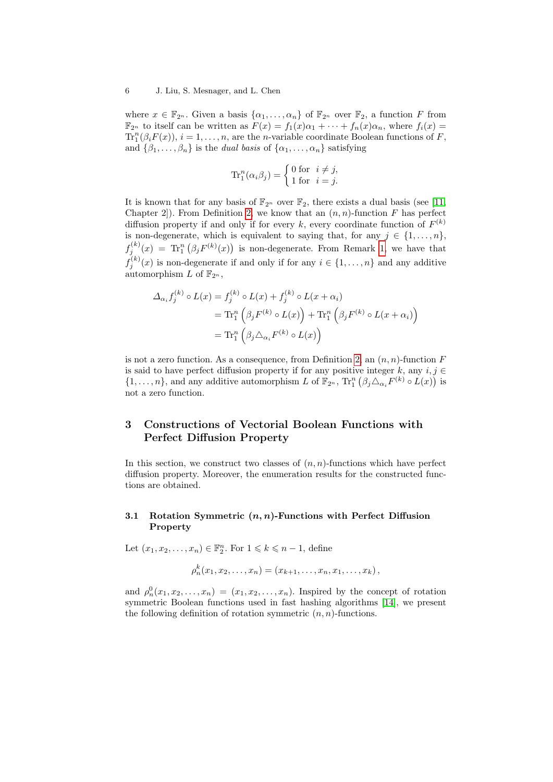where  $x \in \mathbb{F}_{2^n}$ . Given a basis  $\{\alpha_1, \ldots, \alpha_n\}$  of  $\mathbb{F}_{2^n}$  over  $\mathbb{F}_2$ , a function F from  $\mathbb{F}_{2^n}$  to itself can be written as  $F(x) = f_1(x)\alpha_1 + \cdots + f_n(x)\alpha_n$ , where  $f_i(x) =$  $\mathrm{Tr}^n_1(\beta_i F(x)), i = 1, \ldots, n$ , are the *n*-variable coordinate Boolean functions of F, and  $\{\beta_1, \ldots, \beta_n\}$  is the *dual basis* of  $\{\alpha_1, \ldots, \alpha_n\}$  satisfying

$$
\operatorname{Tr}_1^n(\alpha_i \beta_j) = \begin{cases} 0 \text{ for } i \neq j, \\ 1 \text{ for } i = j. \end{cases}
$$

It is known that for any basis of  $\mathbb{F}_{2^n}$  over  $\mathbb{F}_2$ , there exists a dual basis (see [\[11,](#page-14-3) Chapter 2. From Definition [2,](#page-4-0) we know that an  $(n, n)$ -function F has perfect diffusion property if and only if for every k, every coordinate function of  $F^{(k)}$ is non-degenerate, which is equivalent to saying that, for any  $j \in \{1, \ldots, n\}$ ,  $f_j^{(k)}(x) = \text{Tr}_1^n(\beta_j F^{(k)}(x))$  is non-degenerate. From Remark [1,](#page-4-1) we have that  $f_j^{(k)}(x)$  is non-degenerate if and only if for any  $i \in \{1, \ldots, n\}$  and any additive automorphism L of  $\mathbb{F}_{2^n}$ ,

$$
\Delta_{\alpha_i} f_j^{(k)} \circ L(x) = f_j^{(k)} \circ L(x) + f_j^{(k)} \circ L(x + \alpha_i)
$$
  
=  $\text{Tr}_1^n \left( \beta_j F^{(k)} \circ L(x) \right) + \text{Tr}_1^n \left( \beta_j F^{(k)} \circ L(x + \alpha_i) \right)$   
=  $\text{Tr}_1^n \left( \beta_j \Delta_{\alpha_i} F^{(k)} \circ L(x) \right)$ 

is not a zero function. As a consequence, from Definition [2,](#page-4-0) an  $(n, n)$ -function F is said to have perfect diffusion property if for any positive integer k, any  $i, j \in$  $\{1,\ldots,n\}$ , and any additive automorphism L of  $\mathbb{F}_{2^n}$ ,  $\text{Tr}^n_1(\beta_j \triangle_{\alpha_i} F^{(k)} \circ L(x))$  is not a zero function.

# <span id="page-5-1"></span>3 Constructions of Vectorial Boolean Functions with Perfect Diffusion Property

In this section, we construct two classes of  $(n, n)$ -functions which have perfect diffusion property. Moreover, the enumeration results for the constructed functions are obtained.

#### 3.1 Rotation Symmetric  $(n, n)$ -Functions with Perfect Diffusion Property

Let  $(x_1, x_2, \ldots, x_n) \in \mathbb{F}_2^n$ . For  $1 \leq k \leq n-1$ , define

$$
\rho_n^k(x_1, x_2, \ldots, x_n) = (x_{k+1}, \ldots, x_n, x_1, \ldots, x_k),
$$

<span id="page-5-0"></span>and  $\rho_n^0(x_1, x_2, \ldots, x_n) = (x_1, x_2, \ldots, x_n)$ . Inspired by the concept of rotation symmetric Boolean functions used in fast hashing algorithms [\[14\]](#page-14-4), we present the following definition of rotation symmetric  $(n, n)$ -functions.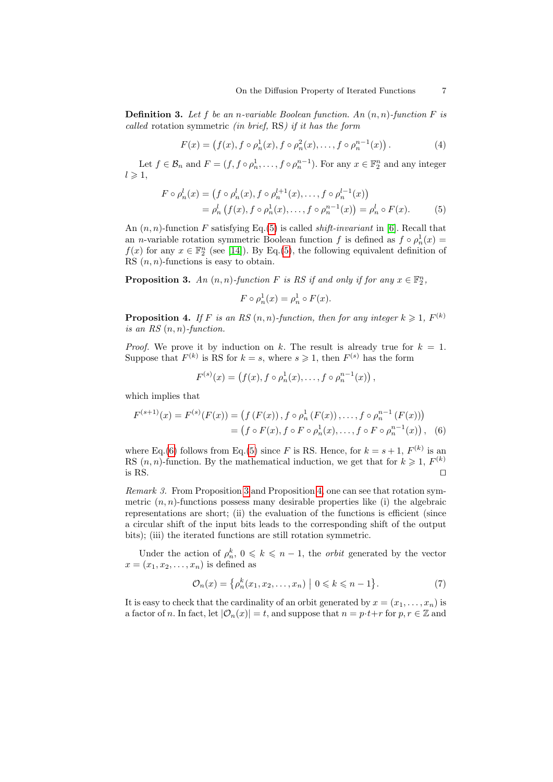**Definition 3.** Let f be an n-variable Boolean function. An  $(n, n)$ -function F is called rotation symmetric (in brief, RS) if it has the form

$$
F(x) = (f(x), f \circ \rho_n^1(x), f \circ \rho_n^2(x), \dots, f \circ \rho_n^{n-1}(x)).
$$
 (4)

Let  $f \in \mathcal{B}_n$  and  $F = (f, f \circ \rho_n^1, \dots, f \circ \rho_n^{n-1})$ . For any  $x \in \mathbb{F}_2^n$  and any integer  $l \geqslant 1$ ,

$$
F \circ \rho_n^l(x) = (f \circ \rho_n^l(x), f \circ \rho_n^{l+1}(x), \dots, f \circ \rho_n^{l-1}(x))
$$
  
=  $\rho_n^l(f(x), f \circ \rho_n^l(x), \dots, f \circ \rho_n^{n-1}(x)) = \rho_n^l \circ F(x).$  (5)

An  $(n, n)$ -function F satisfying Eq.[\(5\)](#page-6-0) is called *shift-invariant* in [\[6\]](#page-13-4). Recall that an *n*-variable rotation symmetric Boolean function f is defined as  $f \circ \rho_n^1(x) =$  $f(x)$  for any  $x \in \mathbb{F}_2^n$  (see [\[14\]](#page-14-4)). By Eq.[\(5\)](#page-6-0), the following equivalent definition of RS  $(n, n)$ -functions is easy to obtain.

<span id="page-6-2"></span>**Proposition 3.** An  $(n, n)$ -function F is RS if and only if for any  $x \in \mathbb{F}_2^n$ ,

<span id="page-6-1"></span><span id="page-6-0"></span>
$$
F \circ \rho_n^1(x) = \rho_n^1 \circ F(x).
$$

<span id="page-6-3"></span>**Proposition 4.** If F is an RS  $(n, n)$ -function, then for any integer  $k \geqslant 1$ ,  $F^{(k)}$ is an RS  $(n, n)$ -function.

*Proof.* We prove it by induction on k. The result is already true for  $k = 1$ . Suppose that  $F^{(k)}$  is RS for  $k = s$ , where  $s \geq 1$ , then  $F^{(s)}$  has the form

$$
F^{(s)}(x) = (f(x), f \circ \rho_n^1(x), \dots, f \circ \rho_n^{n-1}(x)),
$$

which implies that

$$
F^{(s+1)}(x) = F^{(s)}(F(x)) = (f(F(x)), f \circ \rho_n^1(F(x)), \dots, f \circ \rho_n^{n-1}(F(x)))
$$
  
=  $(f \circ F(x), f \circ F \circ \rho_n^1(x), \dots, f \circ F \circ \rho_n^{n-1}(x)),$  (6)

where Eq.[\(6\)](#page-6-1) follows from Eq.[\(5\)](#page-6-0) since F is RS. Hence, for  $k = s + 1$ ,  $F^{(k)}$  is an RS  $(n, n)$ -function. By the mathematical induction, we get that for  $k \geq 1$ ,  $F^{(k)}$ is RS.

Remark 3. From Proposition [3](#page-6-2) and Proposition [4,](#page-6-3) one can see that rotation symmetric  $(n, n)$ -functions possess many desirable properties like (i) the algebraic representations are short; (ii) the evaluation of the functions is efficient (since a circular shift of the input bits leads to the corresponding shift of the output bits); (iii) the iterated functions are still rotation symmetric.

Under the action of  $\rho_n^k$ ,  $0 \leq k \leq n-1$ , the *orbit* generated by the vector  $x=(x_1,x_2,\ldots,x_n)$  is defined as

$$
\mathcal{O}_n(x) = \{ \rho_n^k(x_1, x_2, \dots, x_n) \mid 0 \le k \le n - 1 \}.
$$
 (7)

It is easy to check that the cardinality of an orbit generated by  $x = (x_1, \ldots, x_n)$  is a factor of n. In fact, let  $|\mathcal{O}_n(x)| = t$ , and suppose that  $n = p \cdot t + r$  for  $p, r \in \mathbb{Z}$  and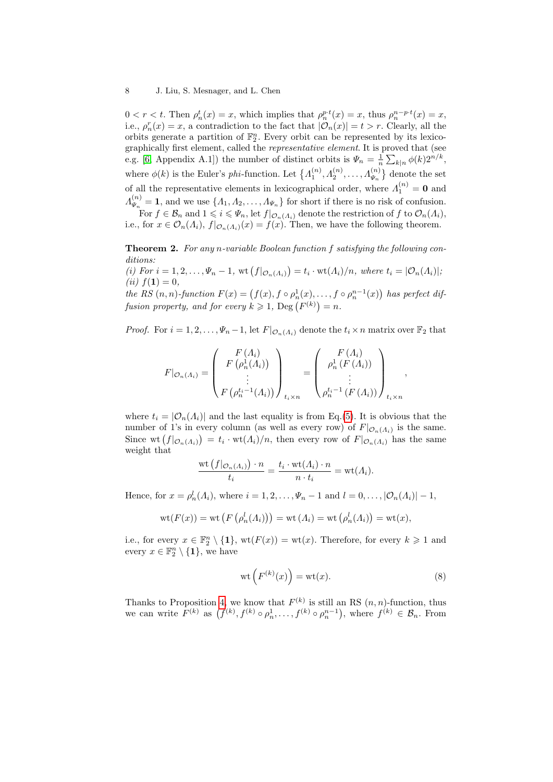$0 < r < t$ . Then  $\rho_n^t(x) = x$ , which implies that  $\rho_n^{p \cdot t}(x) = x$ , thus  $\rho_n^{n-p \cdot t}(x) = x$ , i.e.,  $\rho_n^r(x) = x$ , a contradiction to the fact that  $|\mathcal{O}_n(x)| = t > r$ . Clearly, all the orbits generate a partition of  $\mathbb{F}_2^n$ . Every orbit can be represented by its lexicographically first element, called the representative element. It is proved that (see e.g. [\[6,](#page-13-4) Appendix A.1]) the number of distinct orbits is  $\Psi_n = \frac{1}{n} \sum_{k|n} \phi(k) 2^{n/k}$ , where  $\phi(k)$  is the Euler's *phi*-function. Let  $\{A_1^{(n)}, A_2^{(n)}, \ldots, A_{\Psi_n}^{(n)}\}$  denote the set of all the representative elements in lexicographical order, where  $\Lambda_1^{(n)} = \mathbf{0}$  and  $\varLambda^{(n)}_{\varPsi_{-}}$  $\Psi_{\mu}^{(n)} = 1$ , and we use  $\{ \Lambda_1, \Lambda_2, \ldots, \Lambda_{\Psi_n} \}$  for short if there is no risk of confusion. For  $f \in \mathcal{B}_n$  and  $1 \leqslant i \leqslant \Psi_n$ , let  $f|_{\mathcal{O}_n(\Lambda_i)}$  denote the restriction of  $f$  to  $\mathcal{O}_n(\Lambda_i)$ , i.e., for  $x \in \mathcal{O}_n(\Lambda_i)$ ,  $f|_{\mathcal{O}_n(\Lambda_i)}(x) = f(x)$ . Then, we have the following theorem.

<span id="page-7-1"></span>**Theorem 2.** For any n-variable Boolean function f satisfying the following con-

ditions: (i) For  $i = 1, 2, ..., \Psi_n - 1$ , wt  $(f|_{\mathcal{O}_n(\Lambda_i)}) = t_i \cdot \text{wt}(\Lambda_i)/n$ , where  $t_i = |\mathcal{O}_n(\Lambda_i)|$ ; (*ii*)  $f(1) = 0$ ,

the RS  $(n, n)$ -function  $F(x) = (f(x), f \circ \rho_n^1(x), \ldots, f \circ \rho_n^{n-1}(x))$  has perfect diffusion property, and for every  $k \geqslant 1$ ,  $\text{Deg}(F^{(k)}) = n$ .

*Proof.* For  $i = 1, 2, ..., \Psi_n - 1$ , let  $F|_{\mathcal{O}_n(\Lambda_i)}$  denote the  $t_i \times n$  matrix over  $\mathbb{F}_2$  that

$$
F|_{\mathcal{O}_n(A_i)} = \begin{pmatrix} F(A_i) \\ F(\rho_n^1(A_i)) \\ \vdots \\ F(\rho_n^{t_i-1}(A_i)) \end{pmatrix}_{t_i \times n} = \begin{pmatrix} F(A_i) \\ \rho_n^1(F(A_i)) \\ \vdots \\ \rho_n^{t_i-1}(F(A_i)) \end{pmatrix}_{t_i \times n}
$$

where  $t_i = |\mathcal{O}_n(\Lambda_i)|$  and the last equality is from Eq.[\(5\)](#page-6-0). It is obvious that the number of 1's in every column (as well as every row) of  $F|_{\mathcal{O}_n(A_i)}$  is the same. Since wt  $(f|_{\mathcal{O}_n(A_i)}) = t_i \cdot \text{wt}(A_i)/n$ , then every row of  $F|_{\mathcal{O}_n(A_i)}$  has the same weight that

$$
\frac{\mathrm{wt}\left(f|_{\mathcal{O}_n(A_i)}\right)\cdot n}{t_i} = \frac{t_i \cdot \mathrm{wt}(A_i)\cdot n}{n\cdot t_i} = \mathrm{wt}(A_i).
$$

Hence, for  $x = \rho_n^l(\Lambda_i)$ , where  $i = 1, 2, \ldots, \Psi_n - 1$  and  $l = 0, \ldots, |\mathcal{O}_n(\Lambda_i)| - 1$ ,

$$
wt(F(x)) = wt(F(\rho_n^l(\Lambda_i))) = wt(\Lambda_i) = wt(\rho_n^l(\Lambda_i)) = wt(x),
$$

i.e., for every  $x \in \mathbb{F}_2^n \setminus \{1\}$ ,  $wt(F(x)) = wt(x)$ . Therefore, for every  $k \geq 1$  and every  $x \in \mathbb{F}_2^n \setminus \{1\}$ , we have

<span id="page-7-0"></span>
$$
\operatorname{wt}(F^{(k)}(x)) = \operatorname{wt}(x). \tag{8}
$$

,

Thanks to Proposition [4,](#page-6-3) we know that  $F^{(k)}$  is still an RS  $(n, n)$ -function, thus we can write  $F^{(k)}$  as  $(f^{(k)}, f^{(k)} \circ \rho_n^1, \ldots, f^{(k)} \circ \rho_n^{n-1}),$  where  $f^{(k)} \in \mathcal{B}_n$ . From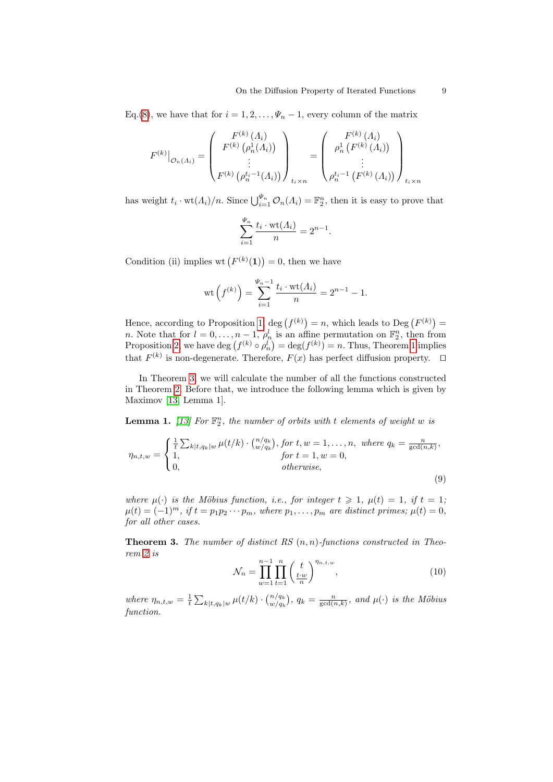Eq.[\(8\)](#page-7-0), we have that for  $i = 1, 2, ..., \Psi_n - 1$ , every column of the matrix

$$
F^{(k)}|_{\mathcal{O}_n(A_i)} = \begin{pmatrix} F^{(k)}(A_i) \\ F^{(k)}(\rho_n^1(A_i)) \\ \vdots \\ F^{(k)}(\rho_n^{t_i-1}(A_i)) \end{pmatrix}_{t_i \times n} = \begin{pmatrix} F^{(k)}(A_i) \\ \rho_n^1(F^{(k)}(A_i)) \\ \vdots \\ \rho_n^{t_i-1}(F^{(k)}(A_i)) \end{pmatrix}_{t_i \times n}
$$

has weight  $t_i \cdot \text{wt}(A_i)/n$ . Since  $\bigcup_{i=1}^{\Psi_n} \mathcal{O}_n(A_i) = \mathbb{F}_2^n$ , then it is easy to prove that

$$
\sum_{i=1}^{\Psi_n} \frac{t_i \cdot \text{wt}(A_i)}{n} = 2^{n-1}.
$$

Condition (ii) implies wt  $(F^{(k)}(1)) = 0$ , then we have

$$
\text{wt}\left(f^{(k)}\right) = \sum_{i=1}^{\Psi_n - 1} \frac{t_i \cdot \text{wt}(A_i)}{n} = 2^{n-1} - 1.
$$

Hence, according to Proposition [1,](#page-2-2) deg  $(f^{(k)}) = n$ , which leads to Deg  $(F^{(k)}) =$ *n*. Note that for  $l = 0, \ldots, n-1, \rho_n^l$  is an affine permutation on  $\mathbb{F}_2^n$ , then from Proposition [2,](#page-2-1) we have  $\deg(f^{(k)} \circ \rho_n^l) = \deg(f^{(k)}) = n$ . Thus, Theorem [1](#page-4-2) implies that  $F^{(k)}$  is non-degenerate. Therefore,  $F(x)$  has perfect diffusion property.  $\Box$ 

In Theorem [3,](#page-8-0) we will calculate the number of all the functions constructed in Theorem [2.](#page-7-1) Before that, we introduce the following lemma which is given by Maximov [\[13,](#page-14-5) Lemma 1].

<span id="page-8-1"></span>**Lemma 1.** [\[13\]](#page-14-5) For  $\mathbb{F}_2^n$ , the number of orbits with t elements of weight w is

$$
\eta_{n,t,w} = \begin{cases} \frac{1}{t} \sum_{k|t,q_k|w} \mu(t/k) \cdot \binom{n/q_k}{w/q_k}, \text{ for } t, w = 1, \dots, n, \text{ where } q_k = \frac{n}{\gcd(n,k)},\\ 1, & \text{ for } t = 1, w = 0, \\ 0, & \text{ otherwise,} \end{cases}
$$
\n
$$
(9)
$$

where  $\mu(\cdot)$  is the Möbius function, i.e., for integer  $t \geq 1$ ,  $\mu(t) = 1$ , if  $t = 1$ ;  $\mu(t) = (-1)^m$ , if  $t = p_1 p_2 \cdots p_m$ , where  $p_1, \ldots, p_m$  are distinct primes;  $\mu(t) = 0$ , for all other cases.

<span id="page-8-0"></span>**Theorem 3.** The number of distinct RS  $(n, n)$ -functions constructed in Theorem [2](#page-7-1) is

<span id="page-8-3"></span><span id="page-8-2"></span>
$$
\mathcal{N}_n = \prod_{w=1}^{n-1} \prod_{t=1}^n \left(\frac{t}{t^w}\right)^{\eta_{n,t,w}},\tag{10}
$$

where  $\eta_{n,t,w} = \frac{1}{t} \sum_{k|t,q_k|w} \mu(t/k) \cdot {n/q_k \choose w/q_k}$ ,  $q_k = \frac{n}{\gcd(n,k)}$ , and  $\mu(\cdot)$  is the Möbius function.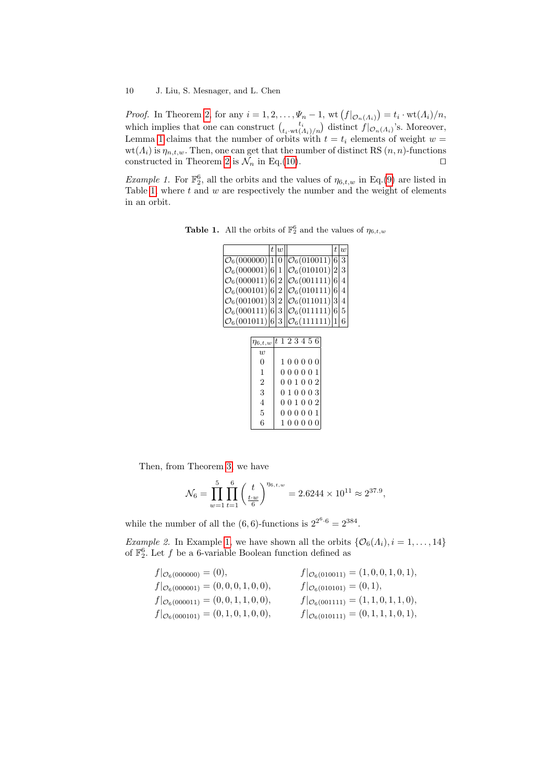*Proof.* In Theorem [2,](#page-7-1) for any  $i = 1, 2, ..., \Psi_n - 1$ ,  $\text{wt}(f|_{\mathcal{O}_n(\Lambda_i)}) = t_i \cdot \text{wt}(\Lambda_i)/n$ , which implies that one can construct  $\binom{t_i}{t_i \cdot \text{wt}(A_i)/n}$  distinct  $f|_{\mathcal{O}_n(A_i)}$ 's. Moreover, Lemma [1](#page-8-1) claims that the number of orbits with  $t = t_i$  elements of weight  $w =$  $wt(A_i)$  is  $\eta_{n,t,w}$ . Then, one can get that the number of distinct RS  $(n, n)$ -functions constructed in Theorem [2](#page-7-1) is  $\mathcal{N}_n$  in Eq.[\(10\)](#page-8-2).

<span id="page-9-1"></span>Example 1. For  $\mathbb{F}_2^6$ , all the orbits and the values of  $\eta_{6,t,w}$  in Eq.[\(9\)](#page-8-3) are listed in Table [1,](#page-9-0) where  $t$  and  $w$  are respectively the number and the weight of elements in an orbit.

**Table 1.** All the orbits of  $\mathbb{F}_2^6$  and the values of  $\eta_{6,t,w}$ 

<span id="page-9-0"></span>

|                                      | t | $\overline{w}$ |                         | t           | $\overline{u}$ |
|--------------------------------------|---|----------------|-------------------------|-------------|----------------|
| $\mathcal{O}_6(000000)$ <sup>1</sup> |   | $\theta$       | $\mathcal{O}_6(010011)$ | 6           | 3              |
| $\mathcal{O}_6(000001)$ 6            |   | $\mathbf{1}$   | $\mathcal{O}_6(010101)$ | $ 2\rangle$ | 3              |
| $\mathcal{O}_6(000011)$ 6            |   | $\overline{2}$ | $\mathcal{O}_6(001111)$ | 6           | 4              |
| $\mathcal{O}_6(000101)$ 6            |   | $\overline{2}$ | $\mathcal{O}_6(010111)$ | 6           | 4              |
| $\mathcal{O}_6(001001)$  3           |   | $\overline{2}$ | $\mathcal{O}_6(011011)$ | 3           | 4              |
| $\mathcal{O}_6(000111) 6$            |   | 3              | $\mathcal{O}_6(011111)$ | 6           | 5              |
| $\mathcal{O}_6(001011) 6$            |   | 3              | $\mathcal{O}_6(111111)$ | 1           | 6              |
|                                      |   |                |                         |             |                |
| $\eta_{6,t,w}$                       |   |                | $ t\;1\;2\;3\;4\;5\;6$  |             |                |
| $\boldsymbol{w}$                     |   |                |                         |             |                |
| 0                                    |   |                | 100000                  |             |                |
| 1                                    |   |                | 000001                  |             |                |
| $\overline{2}$                       |   |                | 001002                  |             |                |
| 3                                    |   |                | 010003                  |             |                |
| 4                                    |   |                | 001002                  |             |                |
| 5                                    |   |                | 000001                  |             |                |
| 6                                    |   |                | $1\ 0\ 0\ 0\ 0\ 0$      |             |                |
|                                      |   |                |                         |             |                |

Then, from Theorem [3,](#page-8-0) we have

$$
\mathcal{N}_6 = \prod_{w=1}^5 \prod_{t=1}^6 \left(\frac{t}{\frac{t \cdot w}{6}}\right)^{\eta_{6,t,w}} = 2.6244 \times 10^{11} \approx 2^{37.9},
$$

while the number of all the  $(6,6)$ -functions is  $2^{2^6 \cdot 6} = 2^{384}$ .

*Example 2.* In Example [1,](#page-9-1) we have shown all the orbits  $\{\mathcal{O}_6(\Lambda_i), i = 1, \ldots, 14\}$ of  $\mathbb{F}_2^6$ . Let f be a 6-variable Boolean function defined as

| $f _{\mathcal{O}_6(000000)} = (0),$                | $f _{\mathcal{O}_6(010011)} = (1,0,0,1,0,1),$      |
|----------------------------------------------------|----------------------------------------------------|
| $f _{\mathcal{O}_6(000001)} = (0, 0, 0, 1, 0, 0),$ | $f _{\mathcal{O}_6(010101)} = (0,1),$              |
| $f _{\mathcal{O}_6(000011)} = (0, 0, 1, 1, 0, 0),$ | $f _{\mathcal{O}_6(001111)} = (1, 1, 0, 1, 1, 0),$ |
| $f _{\mathcal{O}_6(000101)} = (0, 1, 0, 1, 0, 0),$ | $f _{\mathcal{O}_6(010111)} = (0, 1, 1, 1, 0, 1),$ |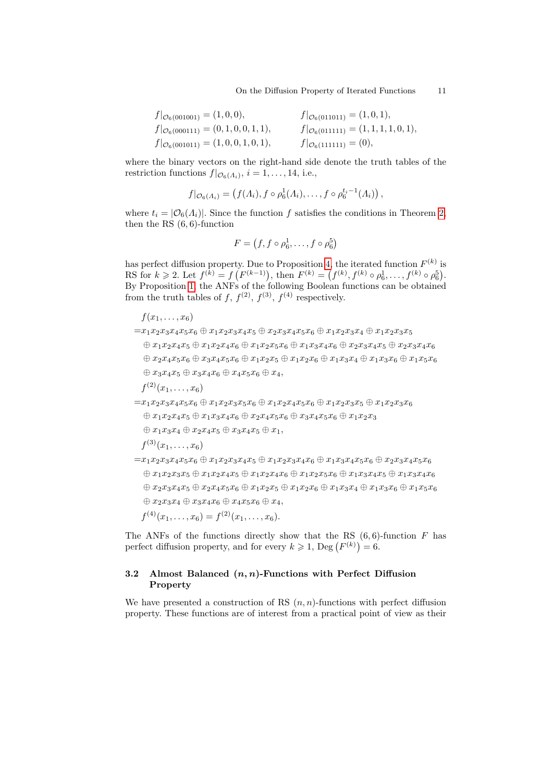On the Diffusion Property of Iterated Functions 11

| $f _{\mathcal{O}_6(001001)} = (1,0,0),$            | $f _{\mathcal{O}_6(011011)} = (1,0,1),$            |
|----------------------------------------------------|----------------------------------------------------|
| $f _{\mathcal{O}_6(000111)} = (0, 1, 0, 0, 1, 1),$ | $f _{\mathcal{O}_6(011111)} = (1, 1, 1, 1, 0, 1),$ |
| $f _{\mathcal{O}_6(001011)} = (1,0,0,1,0,1),$      | $f _{\mathcal{O}_6(111111)} = (0),$                |

where the binary vectors on the right-hand side denote the truth tables of the restriction functions  $f|_{\mathcal{O}_6(A_i)}, i = 1, \ldots, 14$ , i.e.,

$$
f|_{\mathcal{O}_6(A_i)} = \left(f(A_i), f \circ \rho_6^1(A_i), \ldots, f \circ \rho_6^{t_i-1}(A_i)\right),
$$

where  $t_i = |\mathcal{O}_6(\Lambda_i)|$ . Since the function f satisfies the conditions in Theorem [2,](#page-7-1) then the RS (6, 6)-function

$$
F = (f, f \circ \rho_6^1, \dots, f \circ \rho_6^5)
$$

has perfect diffusion property. Due to Proposition [4,](#page-6-3) the iterated function  $F^{(k)}$  is RS for  $k \geq 2$ . Let  $f^{(k)} = f(F^{(k-1)})$ , then  $F^{(k)} = (f^{(k)}, f^{(k)} \circ \rho_6^1, \ldots, f^{(k)} \circ \rho_6^5)$ . By Proposition [1,](#page-2-2) the ANFs of the following Boolean functions can be obtained from the truth tables of f,  $f^{(2)}$ ,  $f^{(3)}$ ,  $f^{(4)}$  respectively.

```
f(x_1, \ldots, x_6)
```
 $=x_1x_2x_3x_4x_5x_6 \oplus x_1x_2x_3x_4x_5 \oplus x_2x_3x_4x_5x_6 \oplus x_1x_2x_3x_4 \oplus x_1x_2x_3x_5$  $\oplus x_1x_2x_4x_5 \oplus x_1x_2x_4x_6 \oplus x_1x_2x_5x_6 \oplus x_1x_3x_4x_6 \oplus x_2x_3x_4x_5 \oplus x_2x_3x_4x_6$ ⊕ x2x4x5x<sup>6</sup> ⊕ x3x4x5x<sup>6</sup> ⊕ x1x2x<sup>5</sup> ⊕ x1x2x<sup>6</sup> ⊕ x1x3x<sup>4</sup> ⊕ x1x3x<sup>6</sup> ⊕ x1x5x<sup>6</sup>  $\oplus x_3x_4x_5 \oplus x_3x_4x_6 \oplus x_4x_5x_6 \oplus x_4,$  $f^{(2)}(x_1,\ldots,x_6)$ 

- $=x_1x_2x_3x_4x_5x_6 \oplus x_1x_2x_3x_5x_6 \oplus x_1x_2x_4x_5x_6 \oplus x_1x_2x_3x_5 \oplus x_1x_2x_3x_6$  $\oplus x_1x_2x_4x_5 \oplus x_1x_3x_4x_6 \oplus x_2x_4x_5x_6 \oplus x_3x_4x_5x_6 \oplus x_1x_2x_3$ 
	- $\oplus x_1x_3x_4 \oplus x_2x_4x_5 \oplus x_3x_4x_5 \oplus x_1,$

$$
f^{(3)}(x_1,\ldots,x_6)
$$

 $=x_1x_2x_3x_4x_5x_6 \oplus x_1x_2x_3x_4x_5 \oplus x_1x_2x_3x_4x_6 \oplus x_1x_3x_4x_5x_6 \oplus x_2x_3x_4x_5x_6$  $\oplus x_1x_2x_3x_5 \oplus x_1x_2x_4x_5 \oplus x_1x_2x_4x_6 \oplus x_1x_2x_5x_6 \oplus x_1x_3x_4x_5 \oplus x_1x_3x_4x_6$  $\oplus x_2x_3x_4x_5 \oplus x_2x_4x_5x_6 \oplus x_1x_2x_5 \oplus x_1x_2x_6 \oplus x_1x_3x_4 \oplus x_1x_3x_6 \oplus x_1x_5x_6$  $\oplus x_2x_3x_4 \oplus x_3x_4x_6 \oplus x_4x_5x_6 \oplus x_4,$ 

$$
f^{(4)}(x_1,\ldots,x_6)=f^{(2)}(x_1,\ldots,x_6).
$$

The ANFs of the functions directly show that the RS  $(6, 6)$ -function F has perfect diffusion property, and for every  $k \geqslant 1$ ,  $\text{Deg}(F^{(k)}) = 6$ .

### <span id="page-10-0"></span>3.2 Almost Balanced  $(n, n)$ -Functions with Perfect Diffusion Property

We have presented a construction of RS  $(n, n)$ -functions with perfect diffusion property. These functions are of interest from a practical point of view as their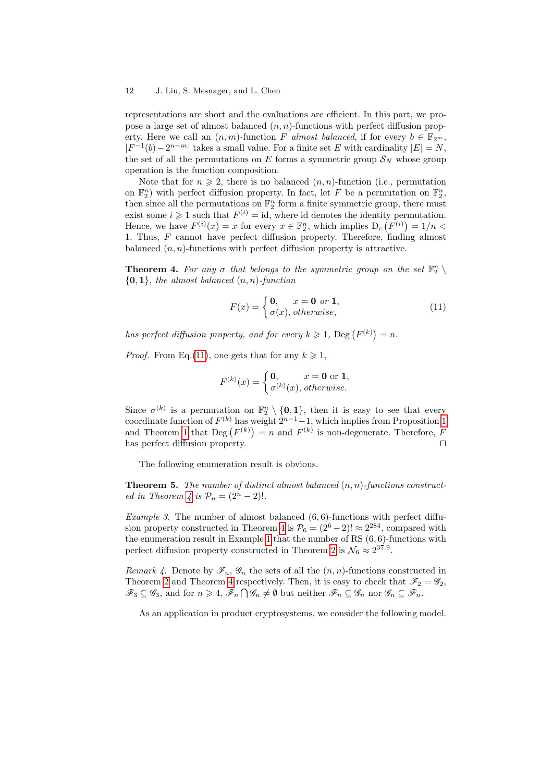#### 12 J. Liu, S. Mesnager, and L. Chen

representations are short and the evaluations are efficient. In this part, we propose a large set of almost balanced  $(n, n)$ -functions with perfect diffusion property. Here we call an  $(n, m)$ -function F almost balanced, if for every  $b \in \mathbb{F}_{2^m}$ ,  $|F^{-1}(b)-2^{n-m}|$  takes a small value. For a finite set E with cardinality  $|E|=N$ , the set of all the permutations on E forms a symmetric group  $S_N$  whose group operation is the function composition.

Note that for  $n \geq 2$ , there is no balanced  $(n, n)$ -function (i.e., permutation on  $\mathbb{F}_2^n$ ) with perfect diffusion property. In fact, let F be a permutation on  $\mathbb{F}_2^n$ , then since all the permutations on  $\mathbb{F}_2^n$  form a finite symmetric group, there must exist some  $i \geq 1$  such that  $F^{(i)} = id$ , where id denotes the identity permutation. Hence, we have  $F^{(i)}(x) = x$  for every  $x \in \mathbb{F}_2^n$ , which implies  $D_c(F^{(i)}) = 1/n$ 1. Thus, F cannot have perfect diffusion property. Therefore, finding almost balanced  $(n, n)$ -functions with perfect diffusion property is attractive.

<span id="page-11-1"></span>**Theorem 4.** For any  $\sigma$  that belongs to the symmetric group on the set  $\mathbb{F}_2^n \setminus \mathbb{F}_2^n$  ${0,1}$ , the almost balanced  $(n, n)$ -function

<span id="page-11-0"></span>
$$
F(x) = \begin{cases} \n\mathbf{0}, & x = \mathbf{0} \text{ or } \mathbf{1}, \\ \n\sigma(x), \text{ otherwise}, \n\end{cases} \tag{11}
$$

has perfect diffusion property, and for every  $k \geqslant 1$ ,  $\text{Deg}(F^{(k)}) = n$ .

*Proof.* From Eq.[\(11\)](#page-11-0), one gets that for any  $k \geq 1$ ,

$$
F^{(k)}(x) = \begin{cases} \mathbf{0}, & x = \mathbf{0} \text{ or } \mathbf{1}, \\ \sigma^{(k)}(x), \text{ otherwise.} \end{cases}
$$

Since  $\sigma^{(k)}$  is a permutation on  $\mathbb{F}_2^n \setminus \{0,1\}$ , then it is easy to see that every coordinate function of  $F^{(k)}$  has weight  $2^{n-1}-1$ , which implies from Proposition [1](#page-2-2) and Theorem [1](#page-4-2) that  $\text{Deg}(F^{(k)}) = n$  and  $F^{(k)}$  is non-degenerate. Therefore, F has perfect diffusion property.  $\Box$ 

The following enumeration result is obvious.

**Theorem 5.** The number of distinct almost balanced  $(n, n)$ -functions construct-ed in Theorem [4](#page-11-1) is  $\mathcal{P}_n = (2^n - 2)!$ .

*Example 3.* The number of almost balanced  $(6, 6)$ -functions with perfect diffu-sion property constructed in Theorem [4](#page-11-1) is  $\mathcal{P}_6 = (2^6 - 2)! \approx 2^{284}$ , compared with the enumeration result in Example [1](#page-9-1) that the number of RS  $(6, 6)$ -functions with perfect diffusion property constructed in Theorem [2](#page-7-1) is  $\mathcal{N}_6 \approx 2^{37.9}$ .

Remark 4. Denote by  $\mathscr{F}_n$ ,  $\mathscr{G}_n$  the sets of all the  $(n, n)$ -functions constructed in Theorem [2](#page-7-1) and Theorem [4](#page-11-1) respectively. Then, it is easy to check that  $\mathscr{F}_2 = \mathscr{G}_2$ ,  $\mathscr{F}_3 \subseteq \mathscr{G}_3$ , and for  $n \geq 4$ ,  $\mathscr{F}_n \cap \mathscr{G}_n \neq \emptyset$  but neither  $\mathscr{F}_n \subseteq \mathscr{G}_n$  nor  $\mathscr{G}_n \subseteq \mathscr{F}_n$ .

As an application in product cryptosystems, we consider the following model.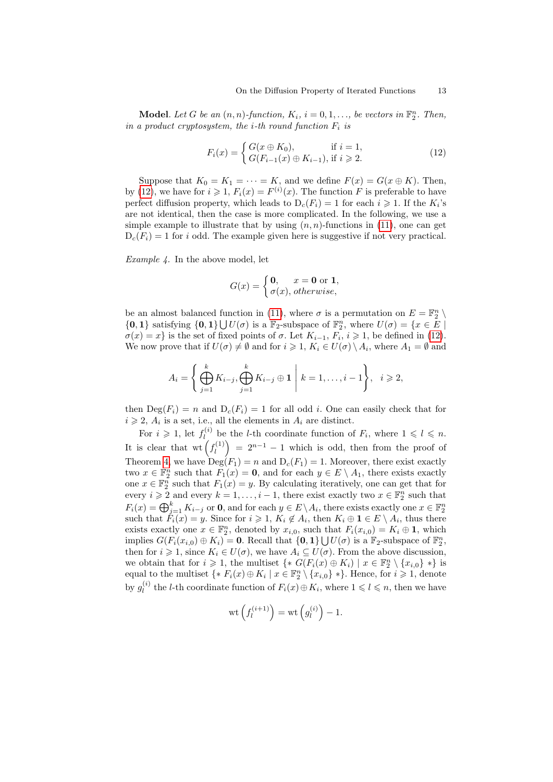**Model.** Let G be an  $(n, n)$ -function,  $K_i$ ,  $i = 0, 1, \ldots$ , be vectors in  $\mathbb{F}_2^n$ . Then, in a product cryptosystem, the *i*-th round function  $F_i$  is

<span id="page-12-0"></span>
$$
F_i(x) = \begin{cases} G(x \oplus K_0), & \text{if } i = 1, \\ G(F_{i-1}(x) \oplus K_{i-1}), & \text{if } i \ge 2. \end{cases}
$$
(12)

Suppose that  $K_0 = K_1 = \cdots = K$ , and we define  $F(x) = G(x \oplus K)$ . Then, by [\(12\)](#page-12-0), we have for  $i \geq 1$ ,  $F_i(x) = F^{(i)}(x)$ . The function F is preferable to have perfect diffusion property, which leads to  $D_c(F_i) = 1$  for each  $i \geq 1$ . If the  $K_i$ 's are not identical, then the case is more complicated. In the following, we use a simple example to illustrate that by using  $(n, n)$ -functions in [\(11\)](#page-11-0), one can get  $D_c(F_i) = 1$  for i odd. The example given here is suggestive if not very practical.

Example 4. In the above model, let

$$
G(x) = \begin{cases} \n0, & x = 0 \text{ or } 1, \\ \n\sigma(x), \text{ otherwise,} \n\end{cases}
$$

be an almost balanced function in [\(11\)](#page-11-0), where  $\sigma$  is a permutation on  $E = \mathbb{F}_2^n \setminus$  $\{0,1\}$  satisfying  $\{0,1\} \bigcup U(\sigma)$  is a  $\mathbb{F}_2$ -subspace of  $\mathbb{F}_2^n$ , where  $U(\sigma) = \{x \in E \mid \mathbb{F}_2\}$  $\sigma(x) = x$  is the set of fixed points of  $\sigma$ . Let  $K_{i-1}, F_i, i \geq 1$ , be defined in [\(12\)](#page-12-0). We now prove that if  $U(\sigma) \neq \emptyset$  and for  $i \geq 1$ ,  $K_i \in U(\sigma) \setminus A_i$ , where  $A_1 = \emptyset$  and

$$
A_i = \left\{ \bigoplus_{j=1}^k K_{i-j}, \bigoplus_{j=1}^k K_{i-j} \oplus \mathbf{1} \middle| k = 1, \dots, i-1 \right\}, \quad i \geqslant 2,
$$

then  $\text{Deg}(F_i) = n$  and  $D_c(F_i) = 1$  for all odd *i*. One can easily check that for  $i \geqslant 2$ ,  $A_i$  is a set, i.e., all the elements in  $A_i$  are distinct.

For  $i \geqslant 1$ , let  $f_i^{(i)}$ <sup>(*i*)</sup> be the *l*-th coordinate function of  $F_i$ , where  $1 \leq l \leq n$ . It is clear that wt  $\left(f_l^{(1)}\right)$  $\binom{n(1)}{l} = 2^{n-1} - 1$  which is odd, then from the proof of Theorem [4,](#page-11-1) we have  $\operatorname{Deg}(F_1) = n$  and  $D_c(F_1) = 1$ . Moreover, there exist exactly two  $x \in \mathbb{F}_2^n$  such that  $F_1(x) = 0$ , and for each  $y \in E \setminus A_1$ , there exists exactly one  $x \in \mathbb{F}_2^n$  such that  $F_1(x) = y$ . By calculating iteratively, one can get that for every  $i \geqslant 2$  and every  $k = 1, \ldots, i - 1$ , there exist exactly two  $x \in \mathbb{F}_2^n$  such that  $F_i(x) = \bigoplus_{j=1}^k K_{i-j}$  or **0**, and for each  $y \in E \setminus A_i$ , there exists exactly one  $x \in \mathbb{F}_2^n$ such that  $F_i(x) = y$ . Since for  $i \geq 1$ ,  $K_i \notin A_i$ , then  $K_i \oplus \mathbf{1} \in E \setminus A_i$ , thus there exists exactly one  $x \in \mathbb{F}_2^n$ , denoted by  $x_{i,0}$ , such that  $F_i(x_{i,0}) = K_i \oplus \mathbf{1}$ , which implies  $G(F_i(x_{i,0}) \oplus K_i) = 0$ . Recall that  $\{0,1\} \bigcup U(\sigma)$  is a  $\mathbb{F}_2$ -subspace of  $\mathbb{F}_2^n$ , then for  $i \geq 1$ , since  $K_i \in U(\sigma)$ , we have  $A_i \subseteq U(\sigma)$ . From the above discussion, we obtain that for  $i \geqslant 1$ , the multiset  $\{ * G(F_i(x) \oplus K_i) \mid x \in \mathbb{F}_2^n \setminus \{x_{i,0}\} * \}$  is equal to the multiset  $\{ * F_i(x) \oplus K_i \mid x \in \mathbb{F}_2^n \setminus \{x_{i,0}\} * \}.$  Hence, for  $i \geqslant 1$ , denote by  $g_l^{(i)}$  $l_i^{(i)}$  the *l*-th coordinate function of  $F_i(x) ⊕ K_i$ , where  $1 \leq l \leq n$ , then we have

$$
\operatorname{wt}\left(f_l^{(i+1)}\right) = \operatorname{wt}\left(g_l^{(i)}\right) - 1.
$$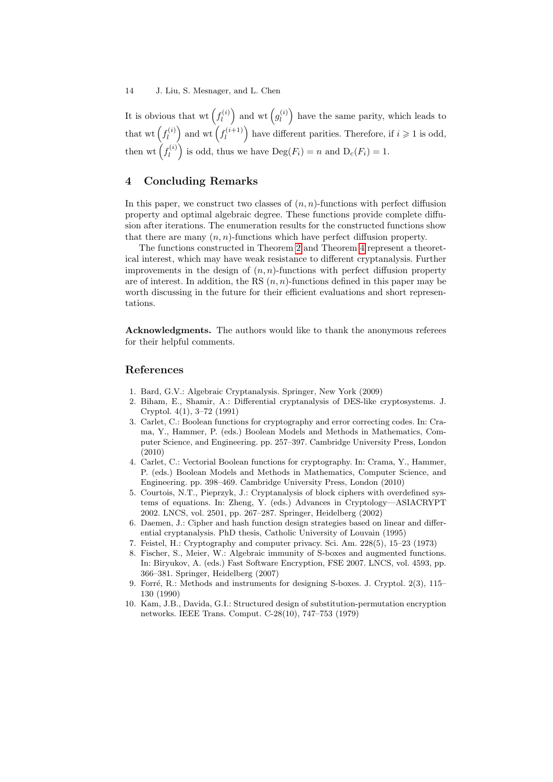It is obvious that wt  $(f_l^{(i)})$  $\binom{e^{i}}{l}$  and wt  $\left(g^{(i)}_l\right)$  $\mathbf{h}_{l}^{(i)}$  have the same parity, which leads to that wt  $\left(f_i^{(i)}\right)$  $\binom{a}{l}$  and wt  $\left(f_l^{(i+1)}\right)$  $\binom{n(i+1)}{l}$  have different parities. Therefore, if  $i \geq 1$  is odd, then wt  $(f_l^{(i)}$  $\left[\begin{matrix} \n\alpha^{(i)} \n\end{matrix}\right]$  is odd, thus we have  $\text{Deg}(F_i) = n$  and  $D_c(F_i) = 1$ .

## 4 Concluding Remarks

In this paper, we construct two classes of  $(n, n)$ -functions with perfect diffusion property and optimal algebraic degree. These functions provide complete diffusion after iterations. The enumeration results for the constructed functions show that there are many  $(n, n)$ -functions which have perfect diffusion property.

The functions constructed in Theorem [2](#page-7-1) and Theorem [4](#page-11-1) represent a theoretical interest, which may have weak resistance to different cryptanalysis. Further improvements in the design of  $(n, n)$ -functions with perfect diffusion property are of interest. In addition, the RS  $(n, n)$ -functions defined in this paper may be worth discussing in the future for their efficient evaluations and short representations.

Acknowledgments. The authors would like to thank the anonymous referees for their helpful comments.

#### References

- <span id="page-13-6"></span>1. Bard, G.V.: Algebraic Cryptanalysis. Springer, New York (2009)
- <span id="page-13-5"></span>2. Biham, E., Shamir, A.: Differential cryptanalysis of DES-like cryptosystems. J. Cryptol. 4(1), 3–72 (1991)
- <span id="page-13-9"></span>3. Carlet, C.: Boolean functions for cryptography and error correcting codes. In: Crama, Y., Hammer, P. (eds.) Boolean Models and Methods in Mathematics, Computer Science, and Engineering. pp. 257–397. Cambridge University Press, London (2010)
- <span id="page-13-0"></span>4. Carlet, C.: Vectorial Boolean functions for cryptography. In: Crama, Y., Hammer, P. (eds.) Boolean Models and Methods in Mathematics, Computer Science, and Engineering. pp. 398–469. Cambridge University Press, London (2010)
- <span id="page-13-7"></span>5. Courtois, N.T., Pieprzyk, J.: Cryptanalysis of block ciphers with overdefined systems of equations. In: Zheng, Y. (eds.) Advances in Cryptology—ASIACRYPT 2002. LNCS, vol. 2501, pp. 267–287. Springer, Heidelberg (2002)
- <span id="page-13-4"></span>6. Daemen, J.: Cipher and hash function design strategies based on linear and differential cryptanalysis. PhD thesis, Catholic University of Louvain (1995)
- <span id="page-13-2"></span>7. Feistel, H.: Cryptography and computer privacy. Sci. Am. 228(5), 15–23 (1973)
- <span id="page-13-8"></span>8. Fischer, S., Meier, W.: Algebraic immunity of S-boxes and augmented functions. In: Biryukov, A. (eds.) Fast Software Encryption, FSE 2007. LNCS, vol. 4593, pp. 366–381. Springer, Heidelberg (2007)
- <span id="page-13-3"></span>9. Forré, R.: Methods and instruments for designing S-boxes. J. Cryptol. 2(3), 115– 130 (1990)
- <span id="page-13-1"></span>10. Kam, J.B., Davida, G.I.: Structured design of substitution-permutation encryption networks. IEEE Trans. Comput. C-28(10), 747–753 (1979)